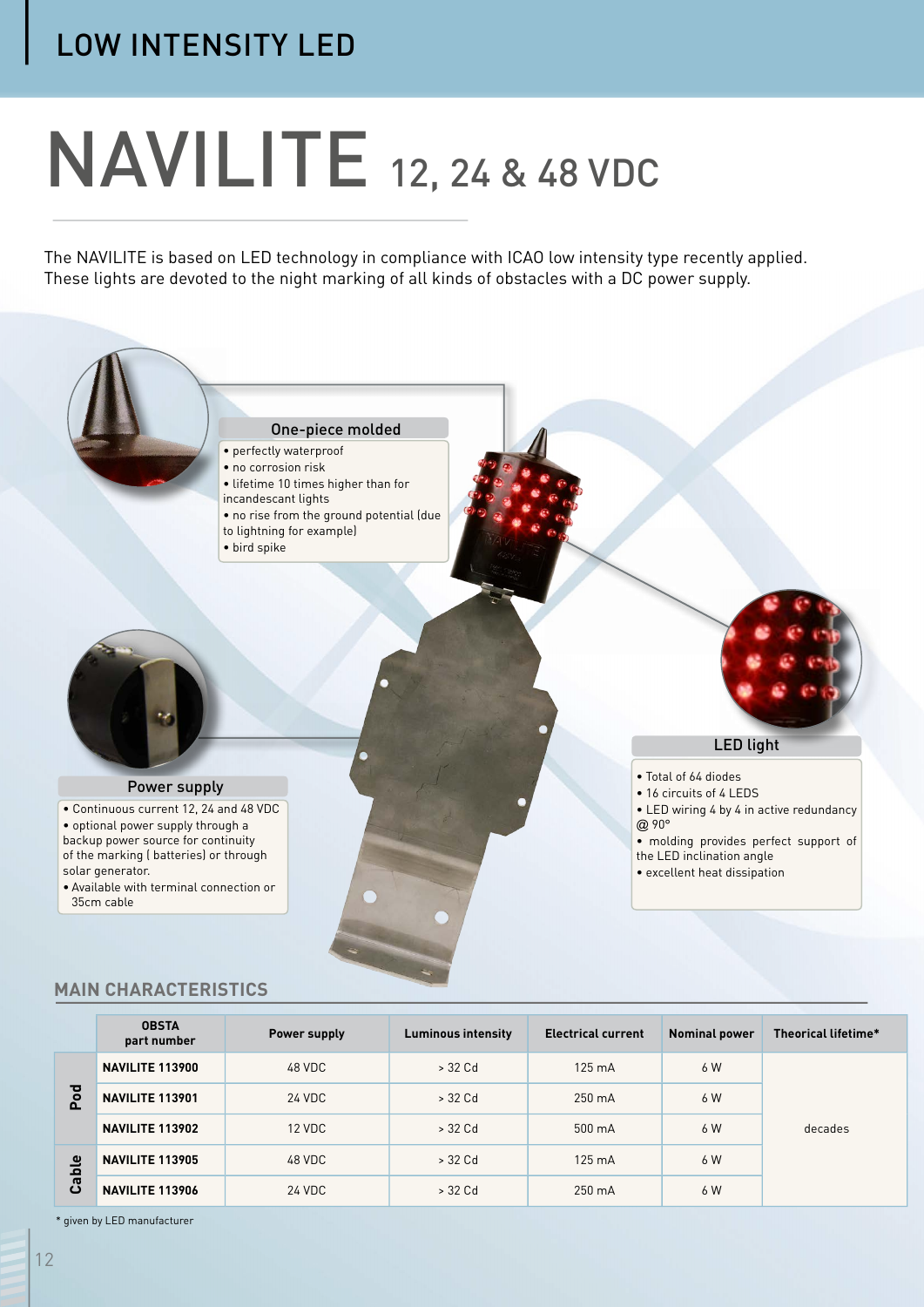# **NAVILITE** 12, 24 & 48 VDC

The NAVILITE is based on LED technology in compliance with ICAO low intensity type recently applied. These lights are devoted to the night marking of all kinds of obstacles with a DC power supply.



## **MAIN CHARACTERISTICS**

|           | <b>OBSTA</b><br>part number | Power supply | <b>Luminous intensity</b> | <b>Electrical current</b> | <b>Nominal power</b> | Theorical lifetime* |
|-----------|-----------------------------|--------------|---------------------------|---------------------------|----------------------|---------------------|
| Pod       | NAVILITE 113900             | 48 VDC       | $>$ 32 Cd                 | $125 \text{ mA}$          | 6 W                  | decades             |
|           | NAVILITE 113901             | 24 VDC       | > 32 Cd                   | $250 \text{ mA}$          | 6 W                  |                     |
|           | NAVILITE 113902             | 12 VDC       | > 32 Cd                   | 500 mA                    | 6 W                  |                     |
| ౨<br>Cabl | <b>NAVILITE 113905</b>      | 48 VDC       | > 32 Cd                   | $125 \text{ mA}$          | 6 W                  |                     |
|           | NAVILITE 113906             | 24 VDC       | > 32 Cd                   | 250 mA                    | 6 W                  |                     |

\* given by LED manufacturer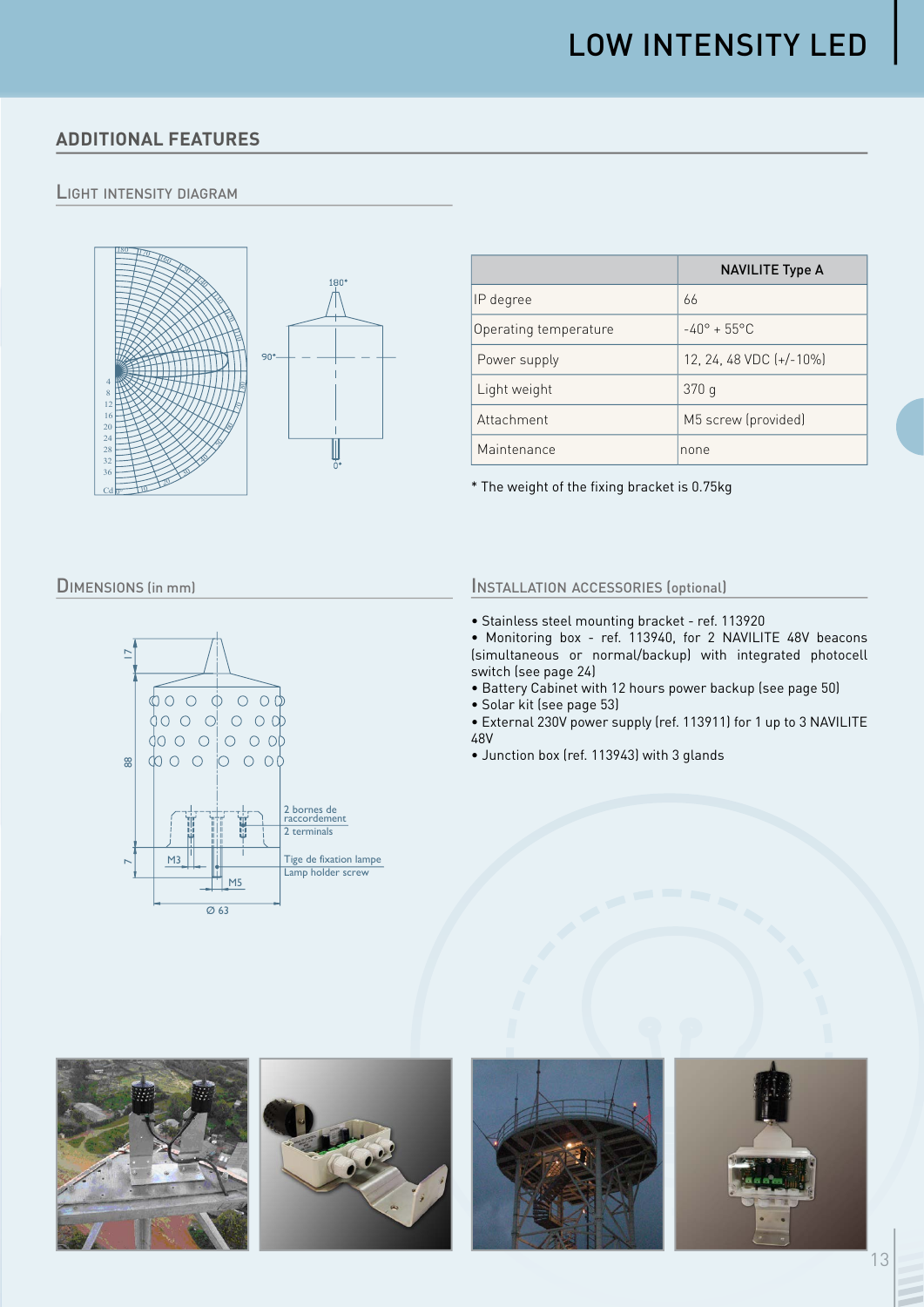# **ADDITIONAL FEATURES**

## **LIGHT INTENSITY DIAGRAM**



|                       | <b>NAVILITE Type A</b>       |  |  |
|-----------------------|------------------------------|--|--|
| IP degree             | 66                           |  |  |
| Operating temperature | $-40^{\circ} + 55^{\circ}$ C |  |  |
| Power supply          | 12, 24, 48 VDC $[+/10\%]$    |  |  |
| Light weight          | 370q                         |  |  |
| Attachment            | M5 screw (provided)          |  |  |
| Maintenance           | none                         |  |  |

\* The weight of the fixing bracket is 0.75kg

#### **DIMENSIONS** (in mm)



## **INSTALLATION ACCESSORIES (optional)**

- · Stainless steel mounting bracket ref. 113920
- Monitoring box ref. 113940, for 2 NAVILITE 48V beacons (simultaneous or normal/backup) with integrated photocell switch (see page 24)
- . Battery Cabinet with 12 hours power backup (see page 50)
- · Solar kit (see page 53)
- · External 230V power supply (ref. 113911) for 1 up to 3 NAVILITE 48V
- · Junction box (ref. 113943) with 3 glands







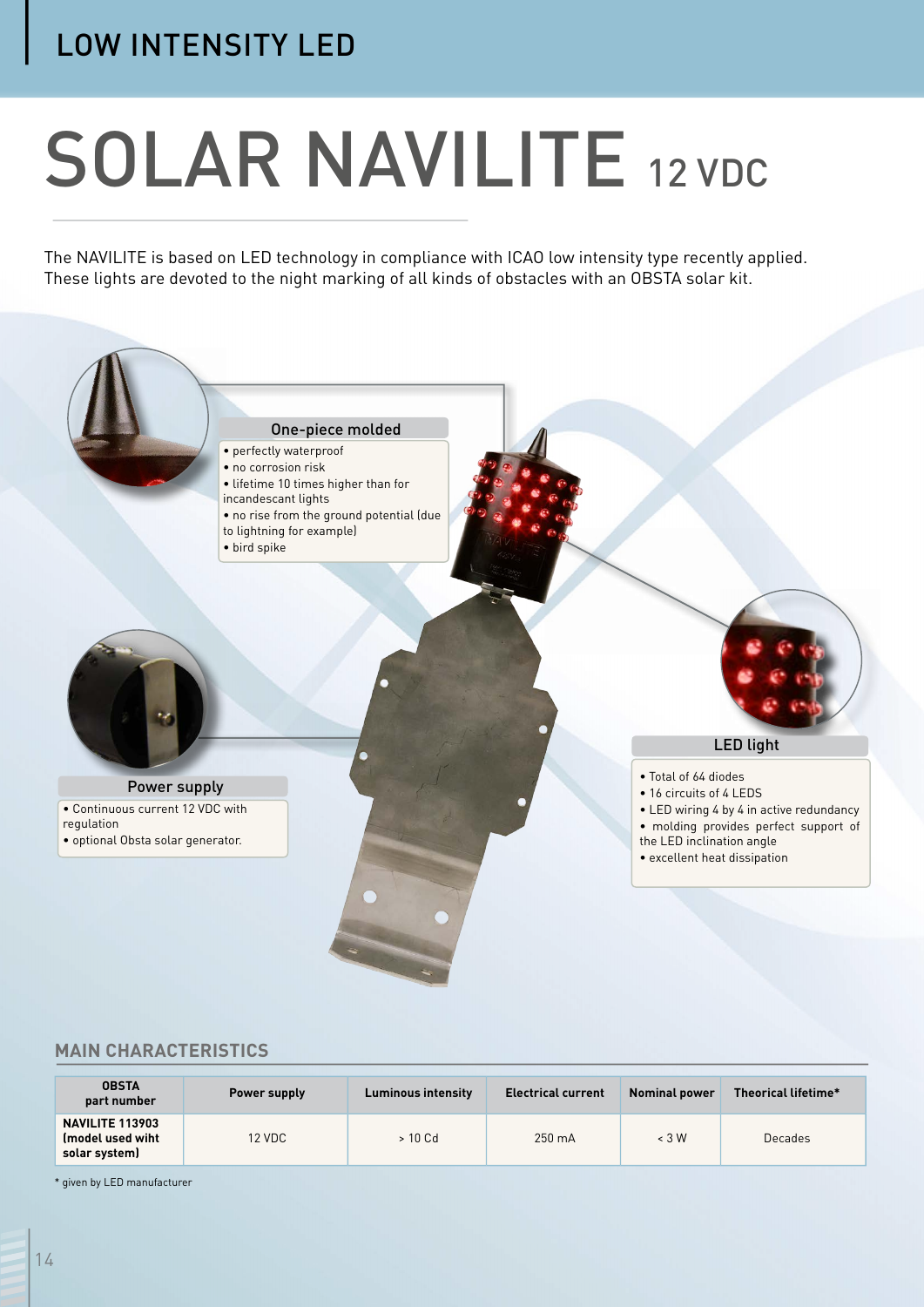# **SOLAR NAVILITE 12 VDC**

The NAVILITE is based on LED technology in compliance with ICAO low intensity type recently applied. These lights are devoted to the night marking of all kinds of obstacles with an OBSTA solar kit.



#### **MAIN CHARACTERISTICS**

| <b>OBSTA</b><br>part number                                 | Power supply | <b>Luminous intensity</b> | <b>Electrical current</b> | <b>Nominal power</b> | Theorical lifetime* |
|-------------------------------------------------------------|--------------|---------------------------|---------------------------|----------------------|---------------------|
| <b>NAVILITE 113903</b><br>(model used wiht<br>solar system) | 12 VDC       | > 10 Cd                   | $250 \text{ mA}$          | $\leq 3$ W           | Decades             |

\* given by LED manufacturer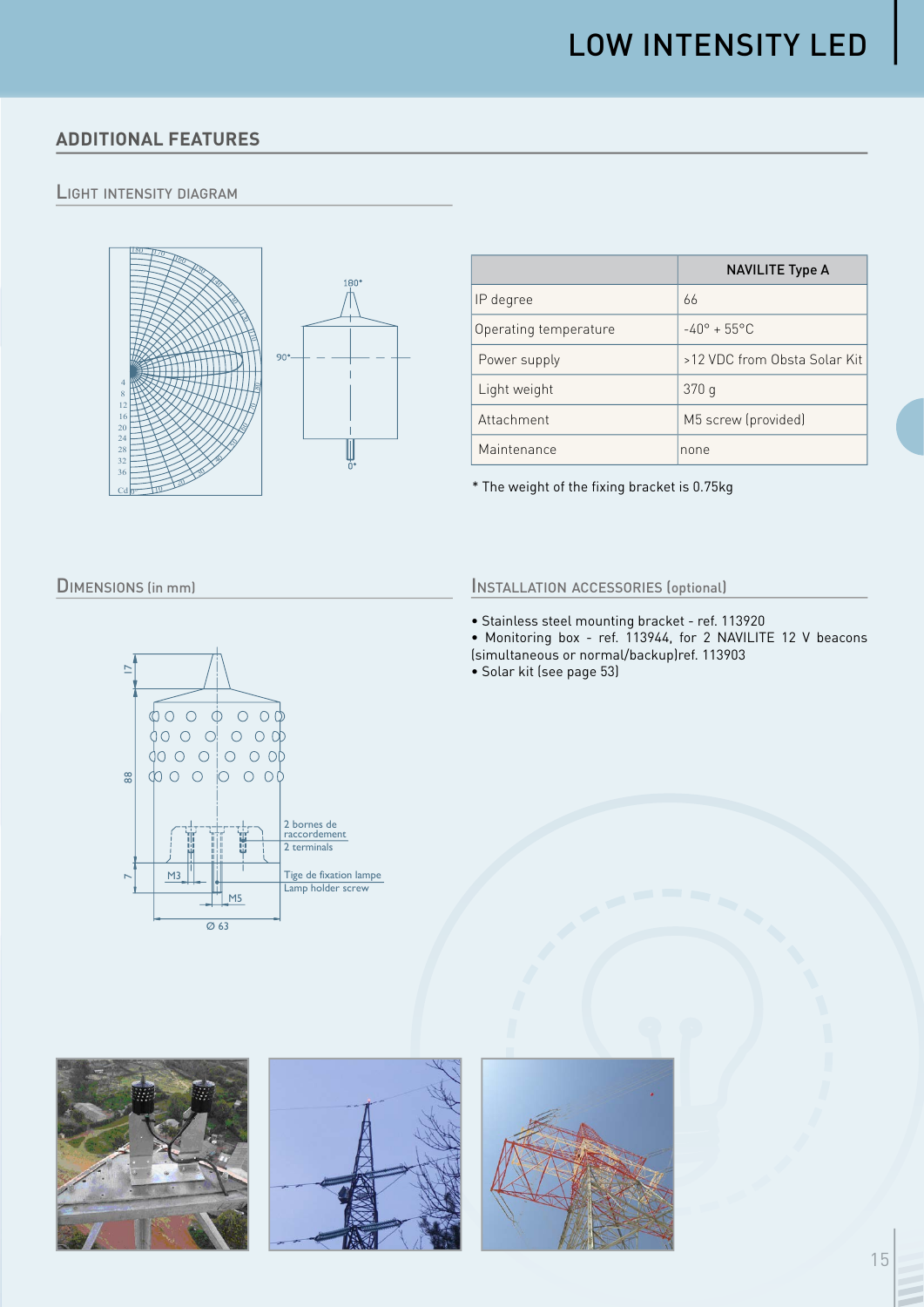# **ADDITIONAL FEATURES**

### **LIGHT INTENSITY DIAGRAM**



|                       | <b>NAVILITE Type A</b>       |  |
|-----------------------|------------------------------|--|
| IP degree             | 66                           |  |
| Operating temperature | $-40^{\circ} + 55^{\circ}$ C |  |
| Power supply          | >12 VDC from Obsta Solar Kit |  |
| Light weight          | 370q                         |  |
| Attachment            | M5 screw (provided)          |  |
| Maintenance           | none                         |  |

\* The weight of the fixing bracket is 0.75kg

#### **DIMENSIONS (in mm)**



#### **INSTALLATION ACCESSORIES (optional)**

- Stainless steel mounting bracket ref. 113920
- Monitoring box ref. 113944, for 2 NAVILITE 12 V beacons<br>(simultaneous or normal/backup)ref. 113903
- 
- · Solar kit (see page 53)





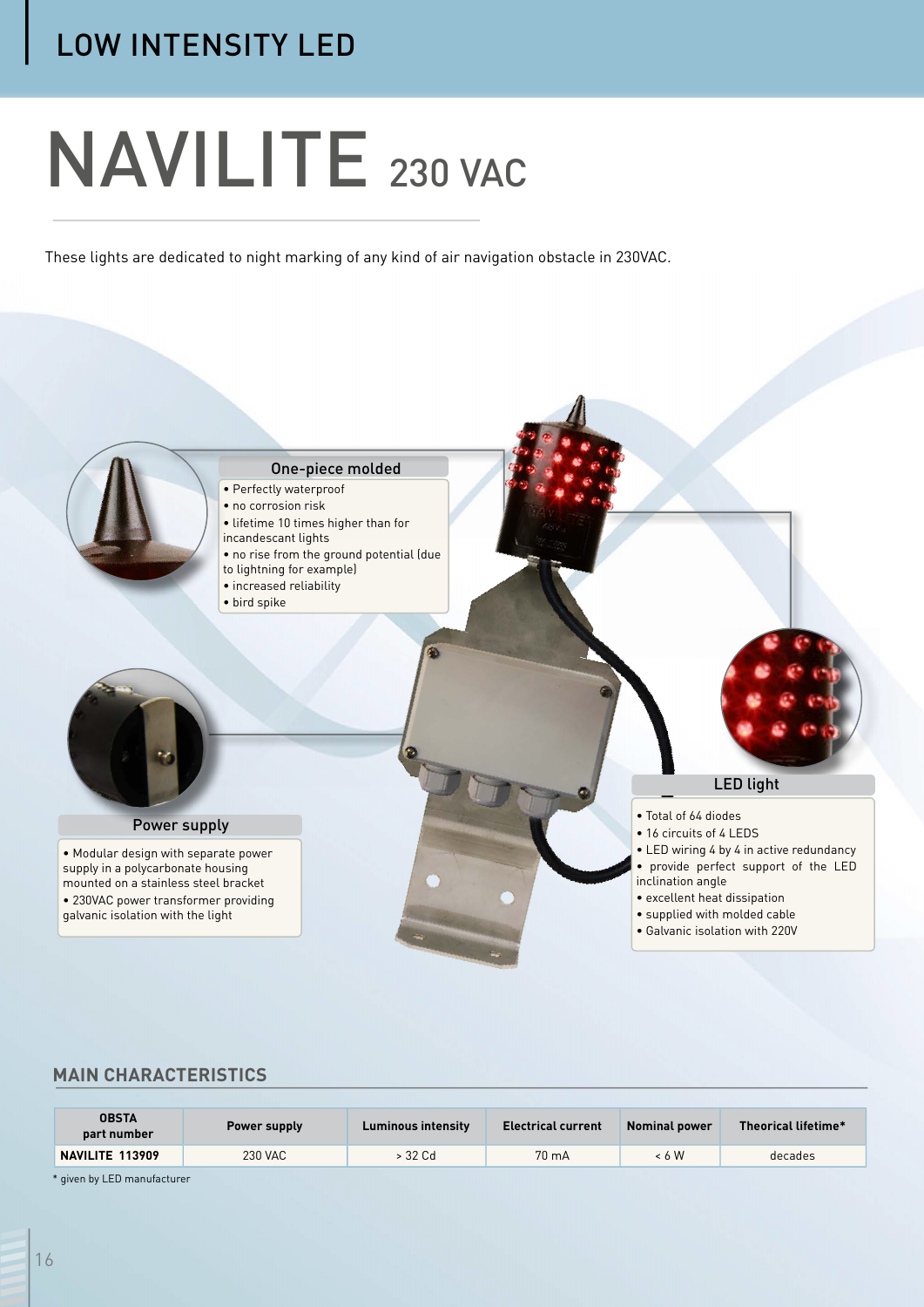# NAVILITE 230 VAC

These lights are dedicated to night marking of any kind of air navigation obstacle in 230VAC.



## **MAIN CHARACTERISTICS**

| <b>OBSTA</b><br>part number | Power supply | <b>Luminous intensity</b> | <b>Electrical current</b> | <b>Nominal power</b> | Theorical lifetime* |
|-----------------------------|--------------|---------------------------|---------------------------|----------------------|---------------------|
| NAVILITE 113909             | 230 VAC      | > 32 Cd                   | $70 \text{ mA}$           | < 6 W                | decades             |

\* given by LED manufacturer